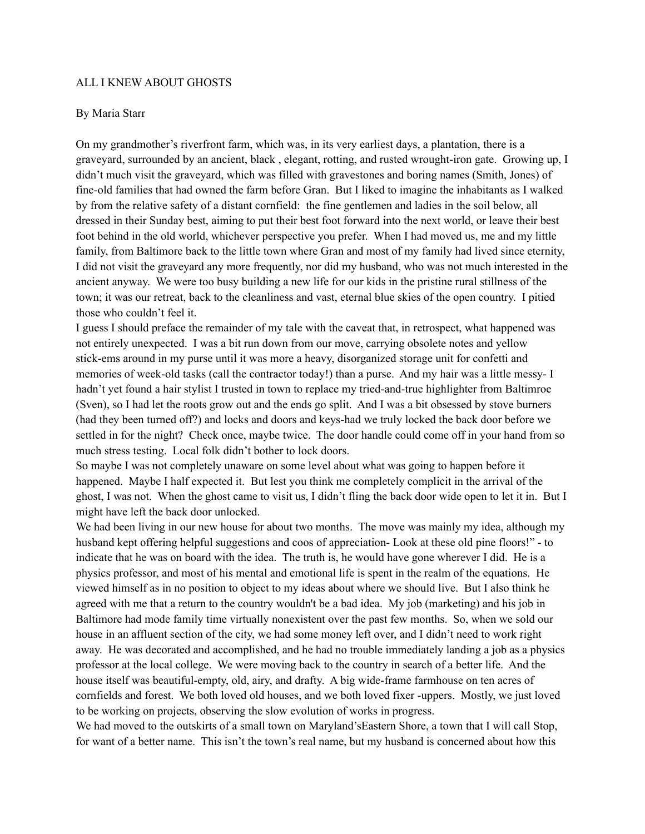## ALL I KNEW ABOUT GHOSTS

## By Maria Starr

On my grandmother's riverfront farm, which was, in its very earliest days, a plantation, there is a graveyard, surrounded by an ancient, black , elegant, rotting, and rusted wrought-iron gate. Growing up, I didn't much visit the graveyard, which was filled with gravestones and boring names (Smith, Jones) of fine-old families that had owned the farm before Gran. But I liked to imagine the inhabitants as I walked by from the relative safety of a distant cornfield: the fine gentlemen and ladies in the soil below, all dressed in their Sunday best, aiming to put their best foot forward into the next world, or leave their best foot behind in the old world, whichever perspective you prefer. When I had moved us, me and my little family, from Baltimore back to the little town where Gran and most of my family had lived since eternity, I did not visit the graveyard any more frequently, nor did my husband, who was not much interested in the ancient anyway. We were too busy building a new life for our kids in the pristine rural stillness of the town; it was our retreat, back to the cleanliness and vast, eternal blue skies of the open country. I pitied those who couldn't feel it.

I guess I should preface the remainder of my tale with the caveat that, in retrospect, what happened was not entirely unexpected. I was a bit run down from our move, carrying obsolete notes and yellow stick-ems around in my purse until it was more a heavy, disorganized storage unit for confetti and memories of week-old tasks (call the contractor today!) than a purse. And my hair was a little messy- I hadn't yet found a hair stylist I trusted in town to replace my tried-and-true highlighter from Baltimroe (Sven), so I had let the roots grow out and the ends go split. And I was a bit obsessed by stove burners (had they been turned off?) and locks and doors and keys-had we truly locked the back door before we settled in for the night? Check once, maybe twice. The door handle could come off in your hand from so much stress testing. Local folk didn't bother to lock doors.

So maybe I was not completely unaware on some level about what was going to happen before it happened. Maybe I half expected it. But lest you think me completely complicit in the arrival of the ghost, I was not. When the ghost came to visit us, I didn't fling the back door wide open to let it in. But I might have left the back door unlocked.

We had been living in our new house for about two months. The move was mainly my idea, although my husband kept offering helpful suggestions and coos of appreciation- Look at these old pine floors!" - to indicate that he was on board with the idea. The truth is, he would have gone wherever I did. He is a physics professor, and most of his mental and emotional life is spent in the realm of the equations. He viewed himself as in no position to object to my ideas about where we should live. But I also think he agreed with me that a return to the country wouldn't be a bad idea. My job (marketing) and his job in Baltimore had mode family time virtually nonexistent over the past few months. So, when we sold our house in an affluent section of the city, we had some money left over, and I didn't need to work right away. He was decorated and accomplished, and he had no trouble immediately landing a job as a physics professor at the local college. We were moving back to the country in search of a better life. And the house itself was beautiful-empty, old, airy, and drafty. A big wide-frame farmhouse on ten acres of cornfields and forest. We both loved old houses, and we both loved fixer -uppers. Mostly, we just loved to be working on projects, observing the slow evolution of works in progress.

We had moved to the outskirts of a small town on Maryland'sEastern Shore, a town that I will call Stop, for want of a better name. This isn't the town's real name, but my husband is concerned about how this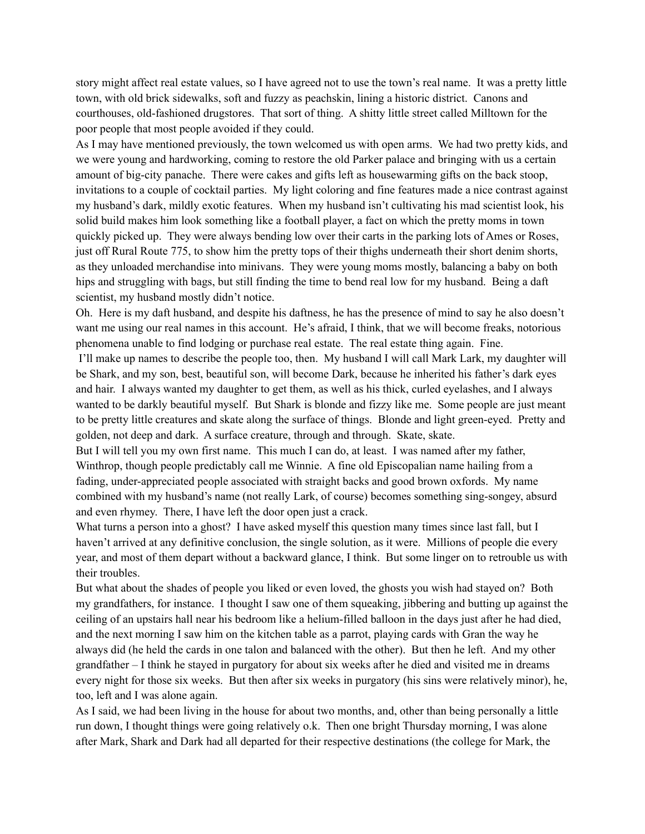story might affect real estate values, so I have agreed not to use the town's real name. It was a pretty little town, with old brick sidewalks, soft and fuzzy as peachskin, lining a historic district. Canons and courthouses, old-fashioned drugstores. That sort of thing. A shitty little street called Milltown for the poor people that most people avoided if they could.

As I may have mentioned previously, the town welcomed us with open arms. We had two pretty kids, and we were young and hardworking, coming to restore the old Parker palace and bringing with us a certain amount of big-city panache. There were cakes and gifts left as housewarming gifts on the back stoop, invitations to a couple of cocktail parties. My light coloring and fine features made a nice contrast against my husband's dark, mildly exotic features. When my husband isn't cultivating his mad scientist look, his solid build makes him look something like a football player, a fact on which the pretty moms in town quickly picked up. They were always bending low over their carts in the parking lots of Ames or Roses, just off Rural Route 775, to show him the pretty tops of their thighs underneath their short denim shorts, as they unloaded merchandise into minivans. They were young moms mostly, balancing a baby on both hips and struggling with bags, but still finding the time to bend real low for my husband. Being a daft scientist, my husband mostly didn't notice.

Oh. Here is my daft husband, and despite his daftness, he has the presence of mind to say he also doesn't want me using our real names in this account. He's afraid, I think, that we will become freaks, notorious phenomena unable to find lodging or purchase real estate. The real estate thing again. Fine.

I'll make up names to describe the people too, then. My husband I will call Mark Lark, my daughter will be Shark, and my son, best, beautiful son, will become Dark, because he inherited his father's dark eyes and hair. I always wanted my daughter to get them, as well as his thick, curled eyelashes, and I always wanted to be darkly beautiful myself. But Shark is blonde and fizzy like me. Some people are just meant to be pretty little creatures and skate along the surface of things. Blonde and light green-eyed. Pretty and golden, not deep and dark. A surface creature, through and through. Skate, skate.

But I will tell you my own first name. This much I can do, at least. I was named after my father, Winthrop, though people predictably call me Winnie. A fine old Episcopalian name hailing from a fading, under-appreciated people associated with straight backs and good brown oxfords. My name combined with my husband's name (not really Lark, of course) becomes something sing-songey, absurd and even rhymey. There, I have left the door open just a crack.

What turns a person into a ghost? I have asked myself this question many times since last fall, but I haven't arrived at any definitive conclusion, the single solution, as it were. Millions of people die every year, and most of them depart without a backward glance, I think. But some linger on to retrouble us with their troubles.

But what about the shades of people you liked or even loved, the ghosts you wish had stayed on? Both my grandfathers, for instance. I thought I saw one of them squeaking, jibbering and butting up against the ceiling of an upstairs hall near his bedroom like a helium-filled balloon in the days just after he had died, and the next morning I saw him on the kitchen table as a parrot, playing cards with Gran the way he always did (he held the cards in one talon and balanced with the other). But then he left. And my other grandfather – I think he stayed in purgatory for about six weeks after he died and visited me in dreams every night for those six weeks. But then after six weeks in purgatory (his sins were relatively minor), he, too, left and I was alone again.

As I said, we had been living in the house for about two months, and, other than being personally a little run down, I thought things were going relatively o.k. Then one bright Thursday morning, I was alone after Mark, Shark and Dark had all departed for their respective destinations (the college for Mark, the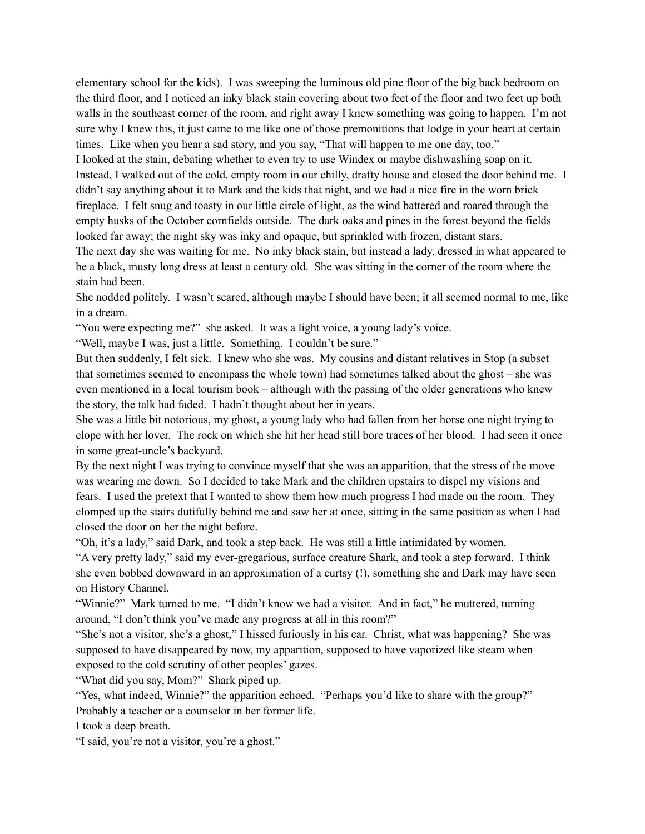elementary school for the kids). I was sweeping the luminous old pine floor of the big back bedroom on the third floor, and I noticed an inky black stain covering about two feet of the floor and two feet up both walls in the southeast corner of the room, and right away I knew something was going to happen. I'm not sure why I knew this, it just came to me like one of those premonitions that lodge in your heart at certain times. Like when you hear a sad story, and you say, "That will happen to me one day, too." I looked at the stain, debating whether to even try to use Windex or maybe dishwashing soap on it.

Instead, I walked out of the cold, empty room in our chilly, drafty house and closed the door behind me. I didn't say anything about it to Mark and the kids that night, and we had a nice fire in the worn brick fireplace. I felt snug and toasty in our little circle of light, as the wind battered and roared through the empty husks of the October cornfields outside. The dark oaks and pines in the forest beyond the fields looked far away; the night sky was inky and opaque, but sprinkled with frozen, distant stars.

The next day she was waiting for me. No inky black stain, but instead a lady, dressed in what appeared to be a black, musty long dress at least a century old. She was sitting in the corner of the room where the stain had been.

She nodded politely. I wasn't scared, although maybe I should have been; it all seemed normal to me, like in a dream.

"You were expecting me?" she asked. It was a light voice, a young lady's voice.

"Well, maybe I was, just a little. Something. I couldn't be sure."

But then suddenly, I felt sick. I knew who she was. My cousins and distant relatives in Stop (a subset that sometimes seemed to encompass the whole town) had sometimes talked about the ghost – she was even mentioned in a local tourism book – although with the passing of the older generations who knew the story, the talk had faded. I hadn't thought about her in years.

She was a little bit notorious, my ghost, a young lady who had fallen from her horse one night trying to elope with her lover. The rock on which she hit her head still bore traces of her blood. I had seen it once in some great-uncle's backyard.

By the next night I was trying to convince myself that she was an apparition, that the stress of the move was wearing me down. So I decided to take Mark and the children upstairs to dispel my visions and fears. I used the pretext that I wanted to show them how much progress I had made on the room. They clomped up the stairs dutifully behind me and saw her at once, sitting in the same position as when I had closed the door on her the night before.

"Oh, it's a lady," said Dark, and took a step back. He was still a little intimidated by women.

"A very pretty lady," said my ever-gregarious, surface creature Shark, and took a step forward. I think she even bobbed downward in an approximation of a curtsy (!), something she and Dark may have seen on History Channel.

"Winnie?" Mark turned to me. "I didn't know we had a visitor. And in fact," he muttered, turning around, "I don't think you've made any progress at all in this room?"

"She's not a visitor, she's a ghost," I hissed furiously in his ear. Christ, what was happening? She was supposed to have disappeared by now, my apparition, supposed to have vaporized like steam when exposed to the cold scrutiny of other peoples' gazes.

"What did you say, Mom?" Shark piped up.

"Yes, what indeed, Winnie?" the apparition echoed. "Perhaps you'd like to share with the group?" Probably a teacher or a counselor in her former life.

I took a deep breath.

"I said, you're not a visitor, you're a ghost."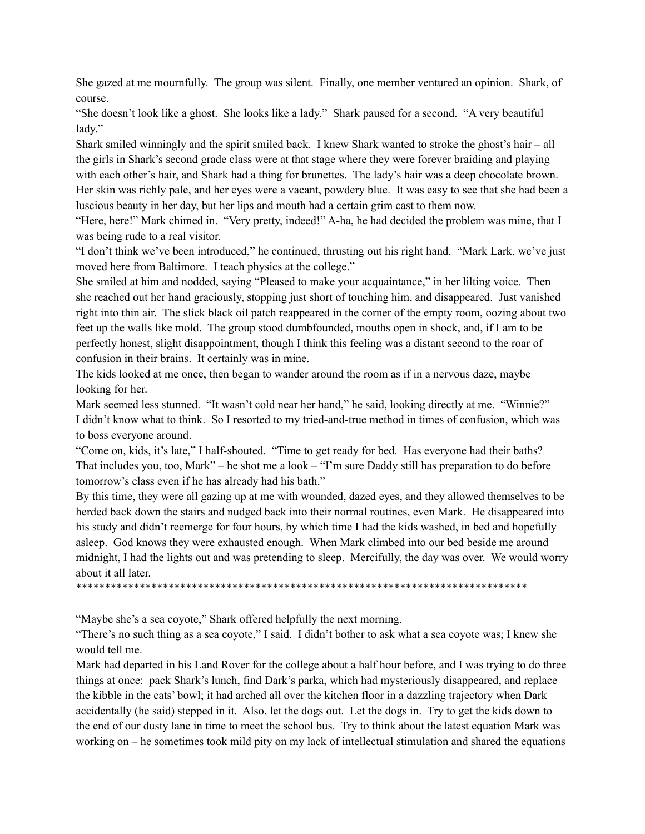She gazed at me mournfully. The group was silent. Finally, one member ventured an opinion. Shark, of course.

"She doesn't look like a ghost. She looks like a lady." Shark paused for a second. "A very beautiful lady."

Shark smiled winningly and the spirit smiled back. I knew Shark wanted to stroke the ghost's hair – all the girls in Shark's second grade class were at that stage where they were forever braiding and playing with each other's hair, and Shark had a thing for brunettes. The lady's hair was a deep chocolate brown. Her skin was richly pale, and her eyes were a vacant, powdery blue. It was easy to see that she had been a luscious beauty in her day, but her lips and mouth had a certain grim cast to them now.

"Here, here!" Mark chimed in. "Very pretty, indeed!" A-ha, he had decided the problem was mine, that I was being rude to a real visitor.

"I don't think we've been introduced," he continued, thrusting out his right hand. "Mark Lark, we've just moved here from Baltimore. I teach physics at the college."

She smiled at him and nodded, saying "Pleased to make your acquaintance," in her lilting voice. Then she reached out her hand graciously, stopping just short of touching him, and disappeared. Just vanished right into thin air. The slick black oil patch reappeared in the corner of the empty room, oozing about two feet up the walls like mold. The group stood dumbfounded, mouths open in shock, and, if I am to be perfectly honest, slight disappointment, though I think this feeling was a distant second to the roar of confusion in their brains. It certainly was in mine.

The kids looked at me once, then began to wander around the room as if in a nervous daze, maybe looking for her.

Mark seemed less stunned. "It wasn't cold near her hand," he said, looking directly at me. "Winnie?" I didn't know what to think. So I resorted to my tried-and-true method in times of confusion, which was to boss everyone around.

"Come on, kids, it's late," I half-shouted. "Time to get ready for bed. Has everyone had their baths? That includes you, too, Mark" – he shot me a look – "I'm sure Daddy still has preparation to do before tomorrow's class even if he has already had his bath."

By this time, they were all gazing up at me with wounded, dazed eyes, and they allowed themselves to be herded back down the stairs and nudged back into their normal routines, even Mark. He disappeared into his study and didn't reemerge for four hours, by which time I had the kids washed, in bed and hopefully asleep. God knows they were exhausted enough. When Mark climbed into our bed beside me around midnight, I had the lights out and was pretending to sleep. Mercifully, the day was over. We would worry about it all later.

\*\*\*\*\*\*\*\*\*\*\*\*\*\*\*\*\*\*\*\*\*\*\*\*\*\*\*\*\*\*\*\*\*\*\*\*\*\*\*\*\*\*\*\*\*\*\*\*\*\*\*\*\*\*\*\*\*\*\*\*\*\*\*\*\*\*\*\*\*\*\*\*\*\*\*\*\*\*

"Maybe she's a sea coyote," Shark offered helpfully the next morning.

"There's no such thing as a sea coyote," I said. I didn't bother to ask what a sea coyote was; I knew she would tell me.

Mark had departed in his Land Rover for the college about a half hour before, and I was trying to do three things at once: pack Shark's lunch, find Dark's parka, which had mysteriously disappeared, and replace the kibble in the cats' bowl; it had arched all over the kitchen floor in a dazzling trajectory when Dark accidentally (he said) stepped in it. Also, let the dogs out. Let the dogs in. Try to get the kids down to the end of our dusty lane in time to meet the school bus. Try to think about the latest equation Mark was working on – he sometimes took mild pity on my lack of intellectual stimulation and shared the equations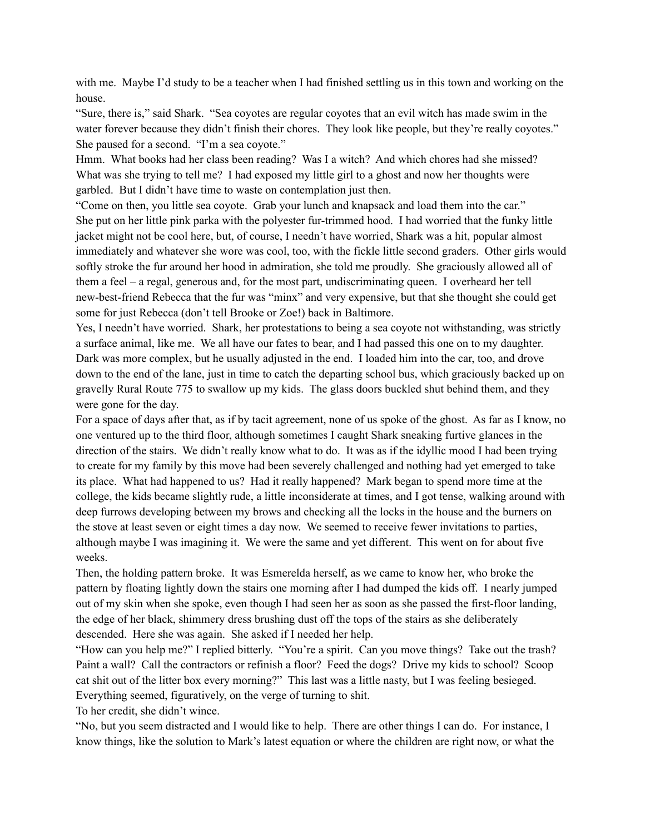with me. Maybe I'd study to be a teacher when I had finished settling us in this town and working on the house.

"Sure, there is," said Shark. "Sea coyotes are regular coyotes that an evil witch has made swim in the water forever because they didn't finish their chores. They look like people, but they're really coyotes." She paused for a second. "I'm a sea coyote."

Hmm. What books had her class been reading? Was I a witch? And which chores had she missed? What was she trying to tell me? I had exposed my little girl to a ghost and now her thoughts were garbled. But I didn't have time to waste on contemplation just then.

"Come on then, you little sea coyote. Grab your lunch and knapsack and load them into the car." She put on her little pink parka with the polyester fur-trimmed hood. I had worried that the funky little jacket might not be cool here, but, of course, I needn't have worried, Shark was a hit, popular almost immediately and whatever she wore was cool, too, with the fickle little second graders. Other girls would softly stroke the fur around her hood in admiration, she told me proudly. She graciously allowed all of them a feel – a regal, generous and, for the most part, undiscriminating queen. I overheard her tell new-best-friend Rebecca that the fur was "minx" and very expensive, but that she thought she could get some for just Rebecca (don't tell Brooke or Zoe!) back in Baltimore.

Yes, I needn't have worried. Shark, her protestations to being a sea coyote not withstanding, was strictly a surface animal, like me. We all have our fates to bear, and I had passed this one on to my daughter. Dark was more complex, but he usually adjusted in the end. I loaded him into the car, too, and drove down to the end of the lane, just in time to catch the departing school bus, which graciously backed up on gravelly Rural Route 775 to swallow up my kids. The glass doors buckled shut behind them, and they were gone for the day.

For a space of days after that, as if by tacit agreement, none of us spoke of the ghost. As far as I know, no one ventured up to the third floor, although sometimes I caught Shark sneaking furtive glances in the direction of the stairs. We didn't really know what to do. It was as if the idyllic mood I had been trying to create for my family by this move had been severely challenged and nothing had yet emerged to take its place. What had happened to us? Had it really happened? Mark began to spend more time at the college, the kids became slightly rude, a little inconsiderate at times, and I got tense, walking around with deep furrows developing between my brows and checking all the locks in the house and the burners on the stove at least seven or eight times a day now. We seemed to receive fewer invitations to parties, although maybe I was imagining it. We were the same and yet different. This went on for about five weeks.

Then, the holding pattern broke. It was Esmerelda herself, as we came to know her, who broke the pattern by floating lightly down the stairs one morning after I had dumped the kids off. I nearly jumped out of my skin when she spoke, even though I had seen her as soon as she passed the first-floor landing, the edge of her black, shimmery dress brushing dust off the tops of the stairs as she deliberately descended. Here she was again. She asked if I needed her help.

"How can you help me?" I replied bitterly. "You're a spirit. Can you move things? Take out the trash? Paint a wall? Call the contractors or refinish a floor? Feed the dogs? Drive my kids to school? Scoop cat shit out of the litter box every morning?" This last was a little nasty, but I was feeling besieged. Everything seemed, figuratively, on the verge of turning to shit.

To her credit, she didn't wince.

"No, but you seem distracted and I would like to help. There are other things I can do. For instance, I know things, like the solution to Mark's latest equation or where the children are right now, or what the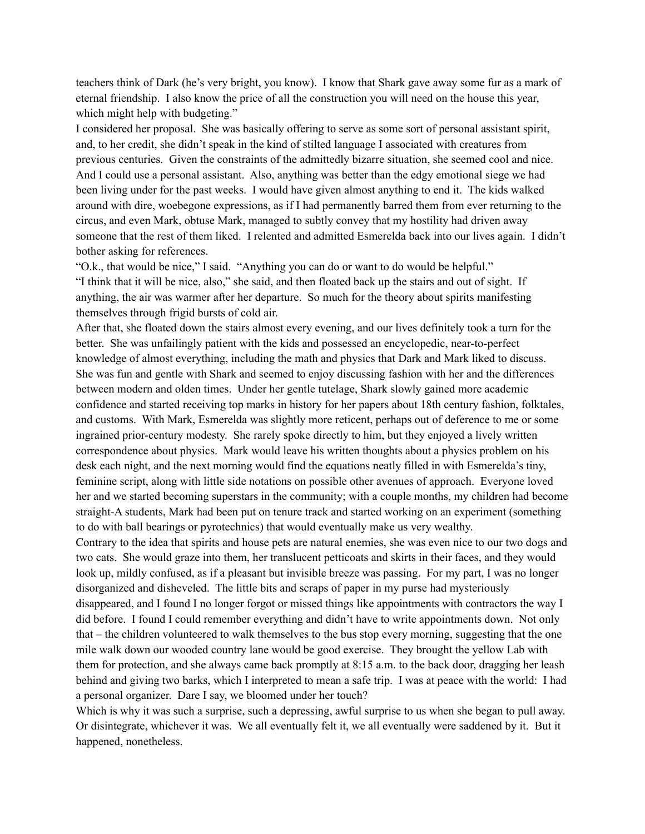teachers think of Dark (he's very bright, you know). I know that Shark gave away some fur as a mark of eternal friendship. I also know the price of all the construction you will need on the house this year, which might help with budgeting."

I considered her proposal. She was basically offering to serve as some sort of personal assistant spirit, and, to her credit, she didn't speak in the kind of stilted language I associated with creatures from previous centuries. Given the constraints of the admittedly bizarre situation, she seemed cool and nice. And I could use a personal assistant. Also, anything was better than the edgy emotional siege we had been living under for the past weeks. I would have given almost anything to end it. The kids walked around with dire, woebegone expressions, as if I had permanently barred them from ever returning to the circus, and even Mark, obtuse Mark, managed to subtly convey that my hostility had driven away someone that the rest of them liked. I relented and admitted Esmerelda back into our lives again. I didn't bother asking for references.

"O.k., that would be nice," I said. "Anything you can do or want to do would be helpful." "I think that it will be nice, also," she said, and then floated back up the stairs and out of sight. If anything, the air was warmer after her departure. So much for the theory about spirits manifesting themselves through frigid bursts of cold air.

After that, she floated down the stairs almost every evening, and our lives definitely took a turn for the better. She was unfailingly patient with the kids and possessed an encyclopedic, near-to-perfect knowledge of almost everything, including the math and physics that Dark and Mark liked to discuss. She was fun and gentle with Shark and seemed to enjoy discussing fashion with her and the differences between modern and olden times. Under her gentle tutelage, Shark slowly gained more academic confidence and started receiving top marks in history for her papers about 18th century fashion, folktales, and customs. With Mark, Esmerelda was slightly more reticent, perhaps out of deference to me or some ingrained prior-century modesty. She rarely spoke directly to him, but they enjoyed a lively written correspondence about physics. Mark would leave his written thoughts about a physics problem on his desk each night, and the next morning would find the equations neatly filled in with Esmerelda's tiny, feminine script, along with little side notations on possible other avenues of approach. Everyone loved her and we started becoming superstars in the community; with a couple months, my children had become straight-A students, Mark had been put on tenure track and started working on an experiment (something to do with ball bearings or pyrotechnics) that would eventually make us very wealthy.

Contrary to the idea that spirits and house pets are natural enemies, she was even nice to our two dogs and two cats. She would graze into them, her translucent petticoats and skirts in their faces, and they would look up, mildly confused, as if a pleasant but invisible breeze was passing. For my part, I was no longer disorganized and disheveled. The little bits and scraps of paper in my purse had mysteriously disappeared, and I found I no longer forgot or missed things like appointments with contractors the way I did before. I found I could remember everything and didn't have to write appointments down. Not only that – the children volunteered to walk themselves to the bus stop every morning, suggesting that the one mile walk down our wooded country lane would be good exercise. They brought the yellow Lab with them for protection, and she always came back promptly at 8:15 a.m. to the back door, dragging her leash behind and giving two barks, which I interpreted to mean a safe trip. I was at peace with the world: I had a personal organizer. Dare I say, we bloomed under her touch?

Which is why it was such a surprise, such a depressing, awful surprise to us when she began to pull away. Or disintegrate, whichever it was. We all eventually felt it, we all eventually were saddened by it. But it happened, nonetheless.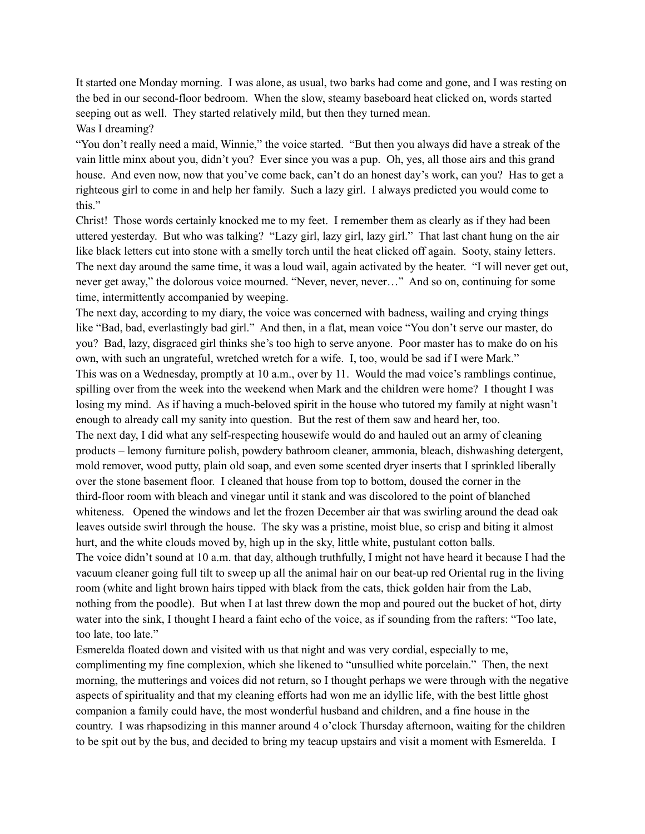It started one Monday morning. I was alone, as usual, two barks had come and gone, and I was resting on the bed in our second-floor bedroom. When the slow, steamy baseboard heat clicked on, words started seeping out as well. They started relatively mild, but then they turned mean.

Was I dreaming?

"You don't really need a maid, Winnie," the voice started. "But then you always did have a streak of the vain little minx about you, didn't you? Ever since you was a pup. Oh, yes, all those airs and this grand house. And even now, now that you've come back, can't do an honest day's work, can you? Has to get a righteous girl to come in and help her family. Such a lazy girl. I always predicted you would come to this."

Christ! Those words certainly knocked me to my feet. I remember them as clearly as if they had been uttered yesterday. But who was talking? "Lazy girl, lazy girl, lazy girl." That last chant hung on the air like black letters cut into stone with a smelly torch until the heat clicked off again. Sooty, stainy letters. The next day around the same time, it was a loud wail, again activated by the heater. "I will never get out, never get away," the dolorous voice mourned. "Never, never, never…" And so on, continuing for some time, intermittently accompanied by weeping.

The next day, according to my diary, the voice was concerned with badness, wailing and crying things like "Bad, bad, everlastingly bad girl." And then, in a flat, mean voice "You don't serve our master, do you? Bad, lazy, disgraced girl thinks she's too high to serve anyone. Poor master has to make do on his own, with such an ungrateful, wretched wretch for a wife. I, too, would be sad if I were Mark." This was on a Wednesday, promptly at 10 a.m., over by 11. Would the mad voice's ramblings continue, spilling over from the week into the weekend when Mark and the children were home? I thought I was losing my mind. As if having a much-beloved spirit in the house who tutored my family at night wasn't enough to already call my sanity into question. But the rest of them saw and heard her, too. The next day, I did what any self-respecting housewife would do and hauled out an army of cleaning products – lemony furniture polish, powdery bathroom cleaner, ammonia, bleach, dishwashing detergent, mold remover, wood putty, plain old soap, and even some scented dryer inserts that I sprinkled liberally over the stone basement floor. I cleaned that house from top to bottom, doused the corner in the third-floor room with bleach and vinegar until it stank and was discolored to the point of blanched whiteness. Opened the windows and let the frozen December air that was swirling around the dead oak leaves outside swirl through the house. The sky was a pristine, moist blue, so crisp and biting it almost hurt, and the white clouds moved by, high up in the sky, little white, pustulant cotton balls. The voice didn't sound at 10 a.m. that day, although truthfully, I might not have heard it because I had the vacuum cleaner going full tilt to sweep up all the animal hair on our beat-up red Oriental rug in the living room (white and light brown hairs tipped with black from the cats, thick golden hair from the Lab, nothing from the poodle). But when I at last threw down the mop and poured out the bucket of hot, dirty water into the sink, I thought I heard a faint echo of the voice, as if sounding from the rafters: "Too late, too late, too late."

Esmerelda floated down and visited with us that night and was very cordial, especially to me, complimenting my fine complexion, which she likened to "unsullied white porcelain." Then, the next morning, the mutterings and voices did not return, so I thought perhaps we were through with the negative aspects of spirituality and that my cleaning efforts had won me an idyllic life, with the best little ghost companion a family could have, the most wonderful husband and children, and a fine house in the country. I was rhapsodizing in this manner around 4 o'clock Thursday afternoon, waiting for the children to be spit out by the bus, and decided to bring my teacup upstairs and visit a moment with Esmerelda. I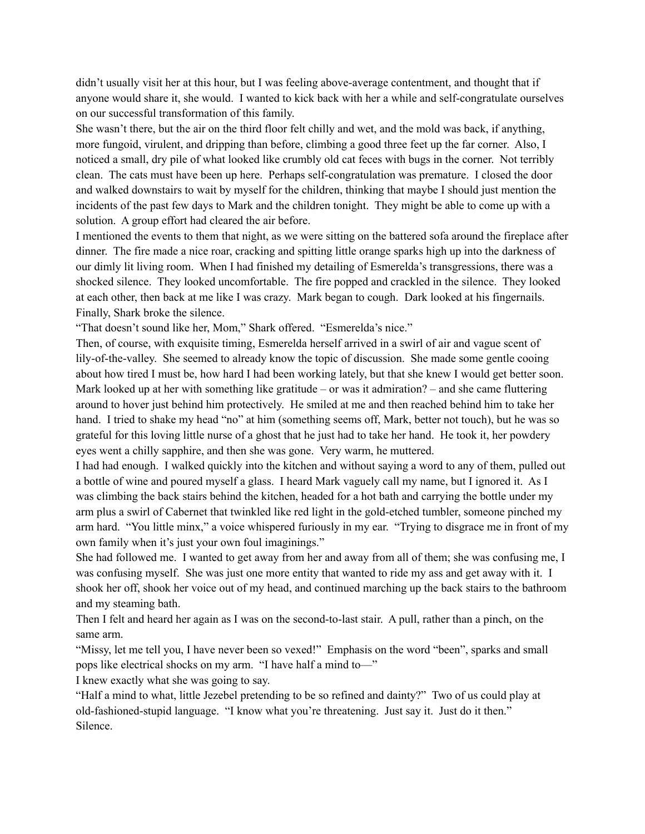didn't usually visit her at this hour, but I was feeling above-average contentment, and thought that if anyone would share it, she would. I wanted to kick back with her a while and self-congratulate ourselves on our successful transformation of this family.

She wasn't there, but the air on the third floor felt chilly and wet, and the mold was back, if anything, more fungoid, virulent, and dripping than before, climbing a good three feet up the far corner. Also, I noticed a small, dry pile of what looked like crumbly old cat feces with bugs in the corner. Not terribly clean. The cats must have been up here. Perhaps self-congratulation was premature. I closed the door and walked downstairs to wait by myself for the children, thinking that maybe I should just mention the incidents of the past few days to Mark and the children tonight. They might be able to come up with a solution. A group effort had cleared the air before.

I mentioned the events to them that night, as we were sitting on the battered sofa around the fireplace after dinner. The fire made a nice roar, cracking and spitting little orange sparks high up into the darkness of our dimly lit living room. When I had finished my detailing of Esmerelda's transgressions, there was a shocked silence. They looked uncomfortable. The fire popped and crackled in the silence. They looked at each other, then back at me like I was crazy. Mark began to cough. Dark looked at his fingernails. Finally, Shark broke the silence.

"That doesn't sound like her, Mom," Shark offered. "Esmerelda's nice."

Then, of course, with exquisite timing, Esmerelda herself arrived in a swirl of air and vague scent of lily-of-the-valley. She seemed to already know the topic of discussion. She made some gentle cooing about how tired I must be, how hard I had been working lately, but that she knew I would get better soon. Mark looked up at her with something like gratitude – or was it admiration? – and she came fluttering around to hover just behind him protectively. He smiled at me and then reached behind him to take her hand. I tried to shake my head "no" at him (something seems off, Mark, better not touch), but he was so grateful for this loving little nurse of a ghost that he just had to take her hand. He took it, her powdery eyes went a chilly sapphire, and then she was gone. Very warm, he muttered.

I had had enough. I walked quickly into the kitchen and without saying a word to any of them, pulled out a bottle of wine and poured myself a glass. I heard Mark vaguely call my name, but I ignored it. As I was climbing the back stairs behind the kitchen, headed for a hot bath and carrying the bottle under my arm plus a swirl of Cabernet that twinkled like red light in the gold-etched tumbler, someone pinched my arm hard. "You little minx," a voice whispered furiously in my ear. "Trying to disgrace me in front of my own family when it's just your own foul imaginings."

She had followed me. I wanted to get away from her and away from all of them; she was confusing me, I was confusing myself. She was just one more entity that wanted to ride my ass and get away with it. I shook her off, shook her voice out of my head, and continued marching up the back stairs to the bathroom and my steaming bath.

Then I felt and heard her again as I was on the second-to-last stair. A pull, rather than a pinch, on the same arm.

"Missy, let me tell you, I have never been so vexed!" Emphasis on the word "been", sparks and small pops like electrical shocks on my arm. "I have half a mind to—"

I knew exactly what she was going to say.

"Half a mind to what, little Jezebel pretending to be so refined and dainty?" Two of us could play at old-fashioned-stupid language. "I know what you're threatening. Just say it. Just do it then." Silence.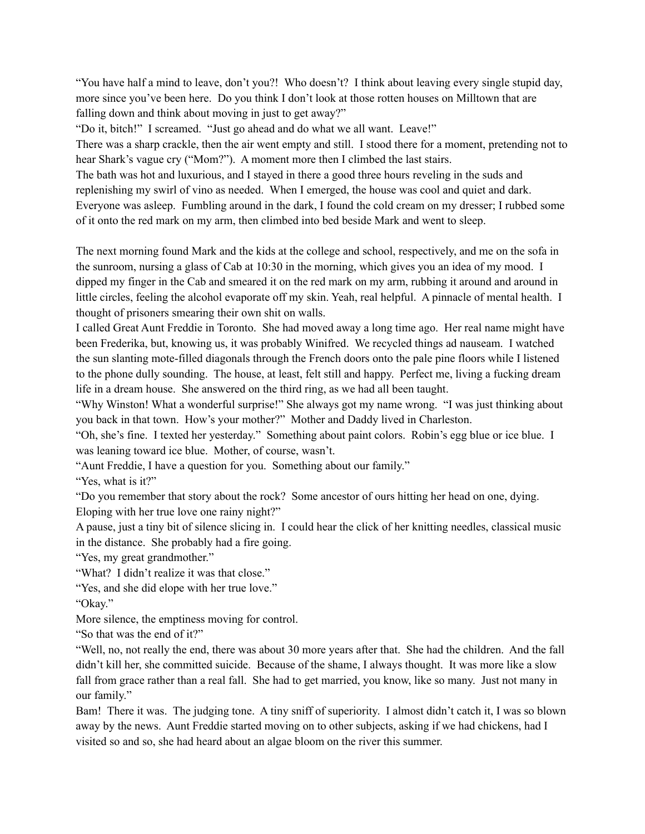"You have half a mind to leave, don't you?! Who doesn't? I think about leaving every single stupid day, more since you've been here. Do you think I don't look at those rotten houses on Milltown that are falling down and think about moving in just to get away?"

"Do it, bitch!" I screamed. "Just go ahead and do what we all want. Leave!"

There was a sharp crackle, then the air went empty and still. I stood there for a moment, pretending not to hear Shark's vague cry ("Mom?"). A moment more then I climbed the last stairs.

The bath was hot and luxurious, and I stayed in there a good three hours reveling in the suds and

replenishing my swirl of vino as needed. When I emerged, the house was cool and quiet and dark.

Everyone was asleep. Fumbling around in the dark, I found the cold cream on my dresser; I rubbed some of it onto the red mark on my arm, then climbed into bed beside Mark and went to sleep.

The next morning found Mark and the kids at the college and school, respectively, and me on the sofa in the sunroom, nursing a glass of Cab at 10:30 in the morning, which gives you an idea of my mood. I dipped my finger in the Cab and smeared it on the red mark on my arm, rubbing it around and around in little circles, feeling the alcohol evaporate off my skin. Yeah, real helpful. A pinnacle of mental health. I thought of prisoners smearing their own shit on walls.

I called Great Aunt Freddie in Toronto. She had moved away a long time ago. Her real name might have been Frederika, but, knowing us, it was probably Winifred. We recycled things ad nauseam. I watched the sun slanting mote-filled diagonals through the French doors onto the pale pine floors while I listened to the phone dully sounding. The house, at least, felt still and happy. Perfect me, living a fucking dream life in a dream house. She answered on the third ring, as we had all been taught.

"Why Winston! What a wonderful surprise!" She always got my name wrong. "I was just thinking about you back in that town. How's your mother?" Mother and Daddy lived in Charleston.

"Oh, she's fine. I texted her yesterday." Something about paint colors. Robin's egg blue or ice blue. I was leaning toward ice blue. Mother, of course, wasn't.

"Aunt Freddie, I have a question for you. Something about our family."

"Yes, what is it?"

"Do you remember that story about the rock? Some ancestor of ours hitting her head on one, dying. Eloping with her true love one rainy night?"

A pause, just a tiny bit of silence slicing in. I could hear the click of her knitting needles, classical music in the distance. She probably had a fire going.

"Yes, my great grandmother."

"What? I didn't realize it was that close."

"Yes, and she did elope with her true love."

"Okay."

More silence, the emptiness moving for control.

"So that was the end of it?"

"Well, no, not really the end, there was about 30 more years after that. She had the children. And the fall didn't kill her, she committed suicide. Because of the shame, I always thought. It was more like a slow fall from grace rather than a real fall. She had to get married, you know, like so many. Just not many in our family."

Bam! There it was. The judging tone. A tiny sniff of superiority. I almost didn't catch it, I was so blown away by the news. Aunt Freddie started moving on to other subjects, asking if we had chickens, had I visited so and so, she had heard about an algae bloom on the river this summer.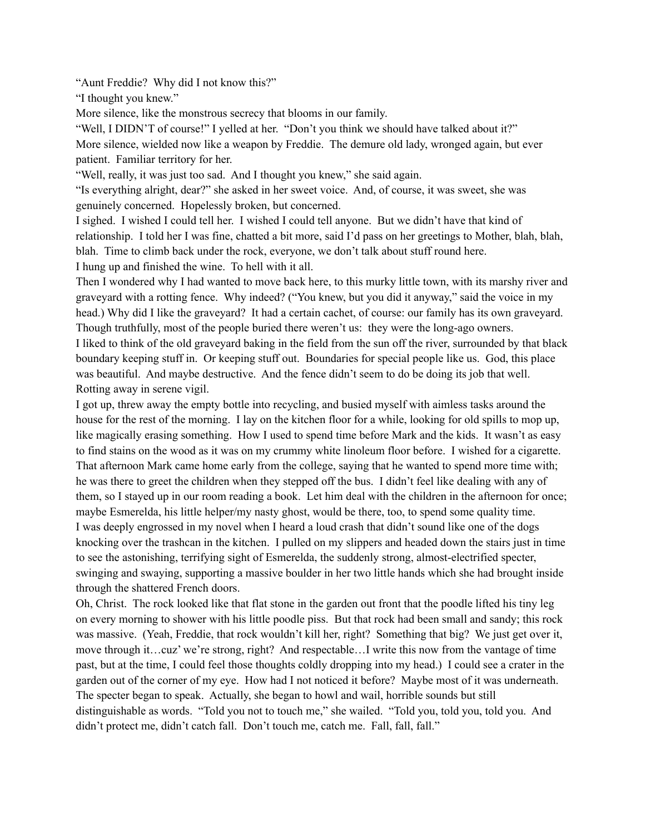"Aunt Freddie? Why did I not know this?"

"I thought you knew."

More silence, like the monstrous secrecy that blooms in our family.

"Well, I DIDN'T of course!" I yelled at her. "Don't you think we should have talked about it?" More silence, wielded now like a weapon by Freddie. The demure old lady, wronged again, but ever patient. Familiar territory for her.

"Well, really, it was just too sad. And I thought you knew," she said again.

"Is everything alright, dear?" she asked in her sweet voice. And, of course, it was sweet, she was genuinely concerned. Hopelessly broken, but concerned.

I sighed. I wished I could tell her. I wished I could tell anyone. But we didn't have that kind of relationship. I told her I was fine, chatted a bit more, said I'd pass on her greetings to Mother, blah, blah, blah. Time to climb back under the rock, everyone, we don't talk about stuff round here. I hung up and finished the wine. To hell with it all.

Then I wondered why I had wanted to move back here, to this murky little town, with its marshy river and graveyard with a rotting fence. Why indeed? ("You knew, but you did it anyway," said the voice in my head.) Why did I like the graveyard? It had a certain cachet, of course: our family has its own graveyard. Though truthfully, most of the people buried there weren't us: they were the long-ago owners. I liked to think of the old graveyard baking in the field from the sun off the river, surrounded by that black boundary keeping stuff in. Or keeping stuff out. Boundaries for special people like us. God, this place was beautiful. And maybe destructive. And the fence didn't seem to do be doing its job that well. Rotting away in serene vigil.

I got up, threw away the empty bottle into recycling, and busied myself with aimless tasks around the house for the rest of the morning. I lay on the kitchen floor for a while, looking for old spills to mop up, like magically erasing something. How I used to spend time before Mark and the kids. It wasn't as easy to find stains on the wood as it was on my crummy white linoleum floor before. I wished for a cigarette. That afternoon Mark came home early from the college, saying that he wanted to spend more time with; he was there to greet the children when they stepped off the bus. I didn't feel like dealing with any of them, so I stayed up in our room reading a book. Let him deal with the children in the afternoon for once; maybe Esmerelda, his little helper/my nasty ghost, would be there, too, to spend some quality time. I was deeply engrossed in my novel when I heard a loud crash that didn't sound like one of the dogs knocking over the trashcan in the kitchen. I pulled on my slippers and headed down the stairs just in time to see the astonishing, terrifying sight of Esmerelda, the suddenly strong, almost-electrified specter, swinging and swaying, supporting a massive boulder in her two little hands which she had brought inside through the shattered French doors.

Oh, Christ. The rock looked like that flat stone in the garden out front that the poodle lifted his tiny leg on every morning to shower with his little poodle piss. But that rock had been small and sandy; this rock was massive. (Yeah, Freddie, that rock wouldn't kill her, right? Something that big? We just get over it, move through it…cuz' we're strong, right? And respectable…I write this now from the vantage of time past, but at the time, I could feel those thoughts coldly dropping into my head.) I could see a crater in the garden out of the corner of my eye. How had I not noticed it before? Maybe most of it was underneath. The specter began to speak. Actually, she began to howl and wail, horrible sounds but still distinguishable as words. "Told you not to touch me," she wailed. "Told you, told you, told you. And didn't protect me, didn't catch fall. Don't touch me, catch me. Fall, fall, fall."